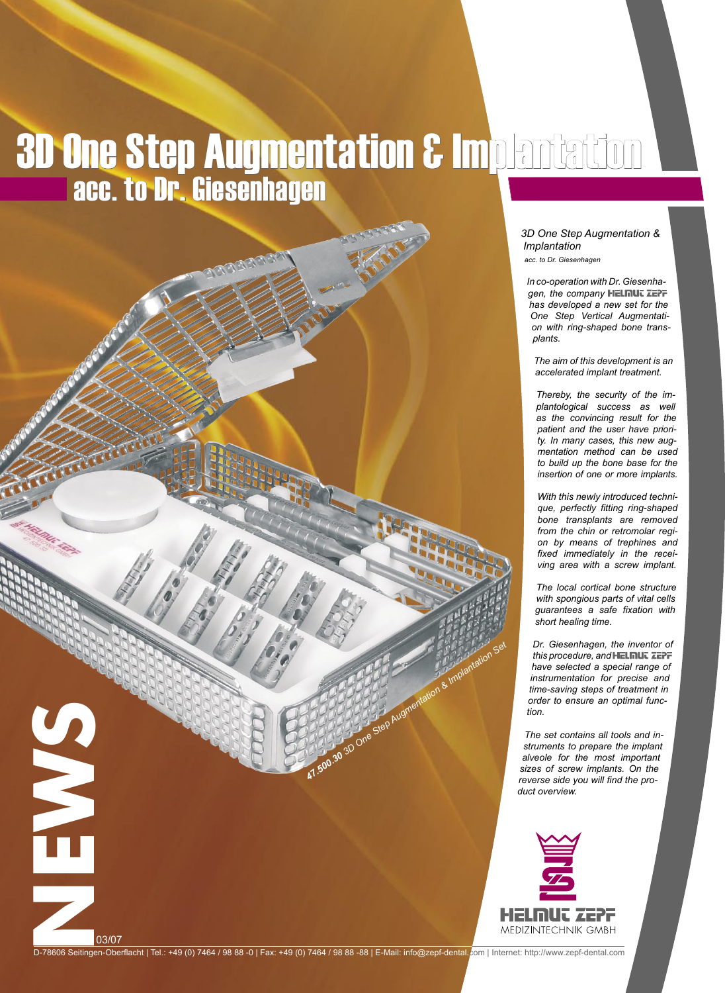## 3D One Step Augmentation & Implantation acc. to Dr. Giesenhagen

*3D One Step Augmentation & Implantation*

*acc. to Dr. Giesenhagen*

*In co-operation with Dr. Giesenhagen, the company has developed a new set for the One Step Vertical Augmentation with ring-shaped bone transplants.* 

*The aim of this development is an accelerated implant treatment.*

*Thereby, the security of the implantological success as well as the convincing result for the patient and the user have priority. In many cases, this new augmentation method can be used to build up the bone base for the insertion of one or more implants.*

*With this newly introduced technique, perfectly fitting ring-shaped bone transplants are removed from the chin or retromolar region by means of trephines and fixed immediately in the receiving area with a screw implant.*

*The local cortical bone structure with spongious parts of vital cells guarantees a safe fixation with short healing time.*

*Dr. Giesenhagen, the inventor of this procedure, and have selected a special range of instrumentation for precise and time-saving steps of treatment in order to ensure an optimal function.*

*The set contains all tools and instruments to prepare the implant alveole for the most important sizes of screw implants. On the reverse side you will find the product overview.*



03/07<br>Drawing Stating (1984)<br>Contact (1984)<br>Contact (1984)<br>Contact (1984)<br>Contact (1984)<br>Contact (1984)<br>Contact (1984)<br>Contact (1984)<br>Contact (1988)<br>Contact (1988)<br>Contact (1988)<br>Contact (1988)<br>Contact (1988)<br>Contact (1988

03/07

D-78606 Seitingen-Oberflacht | Tel.: +49 (0) 7464 / 98 88 -0 | Fax: +49 (0) 7464 / 98 88 -88 | E-Mail: info@zepf-dental.com | Internet: http://www.zepf-dental.com

AT.500.30 3D One Step Augmentation & Implantation Set